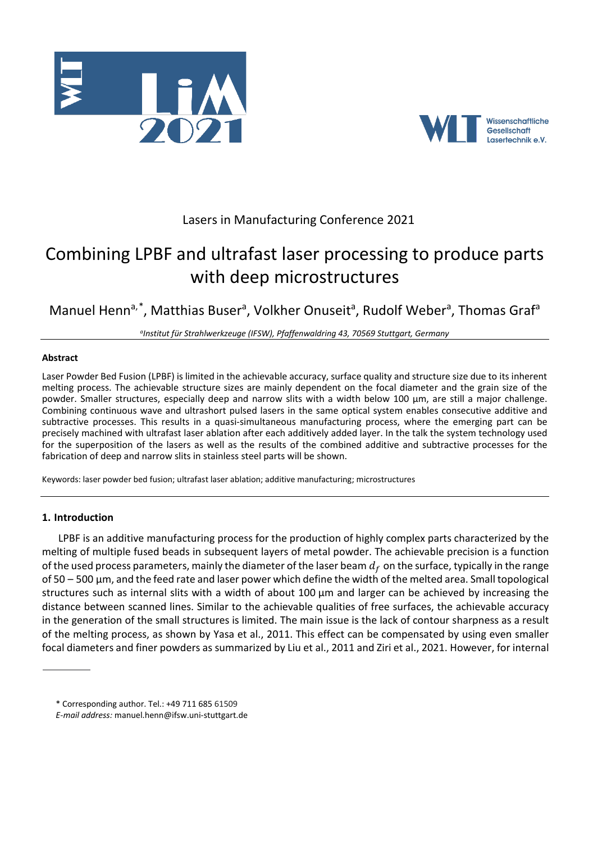



# Lasers in Manufacturing Conference 2021

# Combining LPBF and ultrafast laser processing to produce parts with deep microstructures

Manuel Henn<sup>a,[\\*](#page-0-0)</sup>, Matthias Buser<sup>a</sup>, Volkher Onuseit<sup>a</sup>, Rudolf Weber<sup>a</sup>, Thomas Graf<sup>a</sup>

*aInstitut für Strahlwerkzeuge (IFSW), Pfaffenwaldring 43, 70569 Stuttgart, Germany*

# **Abstract**

Laser Powder Bed Fusion (LPBF) is limited in the achievable accuracy, surface quality and structure size due to its inherent melting process. The achievable structure sizes are mainly dependent on the focal diameter and the grain size of the powder. Smaller structures, especially deep and narrow slits with a width below 100 µm, are still a major challenge. Combining continuous wave and ultrashort pulsed lasers in the same optical system enables consecutive additive and subtractive processes. This results in a quasi-simultaneous manufacturing process, where the emerging part can be precisely machined with ultrafast laser ablation after each additively added layer. In the talk the system technology used for the superposition of the lasers as well as the results of the combined additive and subtractive processes for the fabrication of deep and narrow slits in stainless steel parts will be shown.

Keywords: laser powder bed fusion; ultrafast laser ablation; additive manufacturing; microstructures

# **1. Introduction**

LPBF is an additive manufacturing process for the production of highly complex parts characterized by the melting of multiple fused beads in subsequent layers of metal powder. The achievable precision is a function of the used process parameters, mainly the diameter of the laser beam  $d_f$  on the surface, typically in the range of 50 – 500 µm, and the feed rate and laser power which define the width of the melted area. Small topological structures such as internal slits with a width of about 100 µm and larger can be achieved by increasing the distance between scanned lines. Similar to the achievable qualities of free surfaces, the achievable accuracy in the generation of the small structures is limited. The main issue is the lack of contour sharpness as a result of the melting process, as shown by Yasa et al., 2011. This effect can be compensated by using even smaller focal diameters and finer powders as summarized by Liu et al., 2011 and Ziri et al., 2021. However, for internal

<span id="page-0-0"></span><sup>\*</sup> Corresponding author. Tel.: +49 711 685 61509

*E-mail address:* manuel.henn@ifsw.uni-stuttgart.de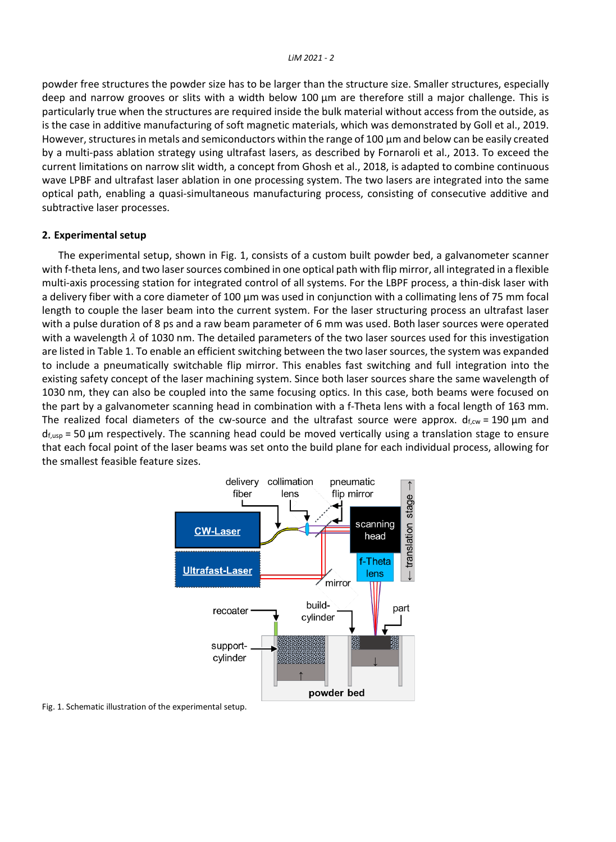powder free structures the powder size has to be larger than the structure size. Smaller structures, especially deep and narrow grooves or slits with a width below 100 µm are therefore still a major challenge. This is particularly true when the structures are required inside the bulk material without access from the outside, as is the case in additive manufacturing of soft magnetic materials, which was demonstrated by Goll et al., 2019. However, structures in metals and semiconductors within the range of 100 µm and below can be easily created by a multi-pass ablation strategy using ultrafast lasers, as described by Fornaroli et al., 2013. To exceed the current limitations on narrow slit width, a concept from Ghosh et al., 2018, is adapted to combine continuous wave LPBF and ultrafast laser ablation in one processing system. The two lasers are integrated into the same optical path, enabling a quasi-simultaneous manufacturing process, consisting of consecutive additive and subtractive laser processes.

#### **2. Experimental setup**

The experimental setup, shown in Fig. 1, consists of a custom built powder bed, a galvanometer scanner with f-theta lens, and two laser sources combined in one optical path with flip mirror, all integrated in a flexible multi-axis processing station for integrated control of all systems. For the LBPF process, a thin-disk laser with a delivery fiber with a core diameter of 100 µm was used in conjunction with a collimating lens of 75 mm focal length to couple the laser beam into the current system. For the laser structuring process an ultrafast laser with a pulse duration of 8 ps and a raw beam parameter of 6 mm was used. Both laser sources were operated with a wavelength  $\lambda$  of 1030 nm. The detailed parameters of the two laser sources used for this investigation are listed i[n Table 1.](#page-2-0) To enable an efficient switching between the two laser sources, the system was expanded to include a pneumatically switchable flip mirror. This enables fast switching and full integration into the existing safety concept of the laser machining system. Since both laser sources share the same wavelength of 1030 nm, they can also be coupled into the same focusing optics. In this case, both beams were focused on the part by a galvanometer scanning head in combination with a f-Theta lens with a focal length of 163 mm. The realized focal diameters of the cw-source and the ultrafast source were approx.  $d_{f, cw} = 190 \mu m$  and  $d_{f,usp}$  = 50 µm respectively. The scanning head could be moved vertically using a translation stage to ensure that each focal point of the laser beams was set onto the build plane for each individual process, allowing for the smallest feasible feature sizes.



Fig. 1. Schematic illustration of the experimental setup.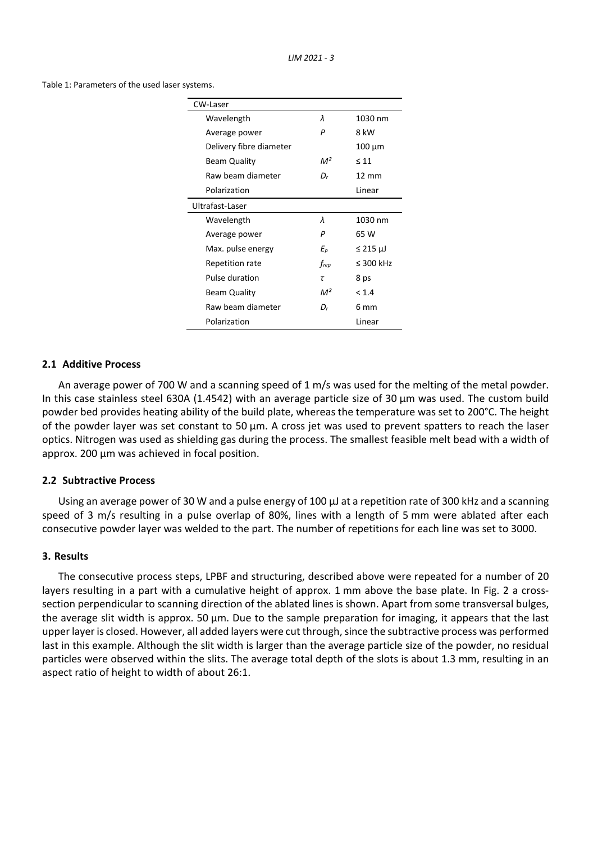<span id="page-2-0"></span>Table 1: Parameters of the used laser systems.

| CW-Laser                |       |                 |
|-------------------------|-------|-----------------|
| Wavelength              | λ     | 1030 nm         |
| Average power           | P     | 8 kW            |
| Delivery fibre diameter |       | $100 \mu m$     |
| <b>Beam Quality</b>     | $M^2$ | $\leq 11$       |
| Raw beam diameter       | Dr    | $12 \text{ mm}$ |
| Polarization            |       | Linear          |
| Ultrafast-Laser         |       |                 |
| Wavelength              | λ     | 1030 nm         |
| Average power           | P     | 65 W            |
| Max. pulse energy       | Еp    | $\leq$ 215 µJ   |
| Repetition rate         | frep  | $\leq$ 300 kHz  |
| Pulse duration          | τ     | 8 ps            |
| <b>Beam Quality</b>     | $M^2$ | < 1.4           |
| Raw beam diameter       | D,    | 6 mm            |
| Polarization            |       | Linear          |

#### **2.1 Additive Process**

An average power of 700 W and a scanning speed of 1 m/s was used for the melting of the metal powder. In this case stainless steel 630A (1.4542) with an average particle size of 30  $\mu$ m was used. The custom build powder bed provides heating ability of the build plate, whereas the temperature was set to 200°C. The height of the powder layer was set constant to 50  $\mu$ m. A cross jet was used to prevent spatters to reach the laser optics. Nitrogen was used as shielding gas during the process. The smallest feasible melt bead with a width of approx. 200 µm was achieved in focal position.

## **2.2 Subtractive Process**

Using an average power of 30 W and a pulse energy of 100  $\mu$  at a repetition rate of 300 kHz and a scanning speed of 3 m/s resulting in a pulse overlap of 80%, lines with a length of 5 mm were ablated after each consecutive powder layer was welded to the part. The number of repetitions for each line was set to 3000.

#### **3. Results**

The consecutive process steps, LPBF and structuring, described above were repeated for a number of 20 layers resulting in a part with a cumulative height of approx. 1 mm above the base plate. In [Fig. 2](#page-3-0) a crosssection perpendicular to scanning direction of the ablated lines is shown. Apart from some transversal bulges, the average slit width is approx. 50 µm. Due to the sample preparation for imaging, it appears that the last upper layer is closed. However, all added layers were cut through, since the subtractive process was performed last in this example. Although the slit width is larger than the average particle size of the powder, no residual particles were observed within the slits. The average total depth of the slots is about 1.3 mm, resulting in an aspect ratio of height to width of about 26:1.